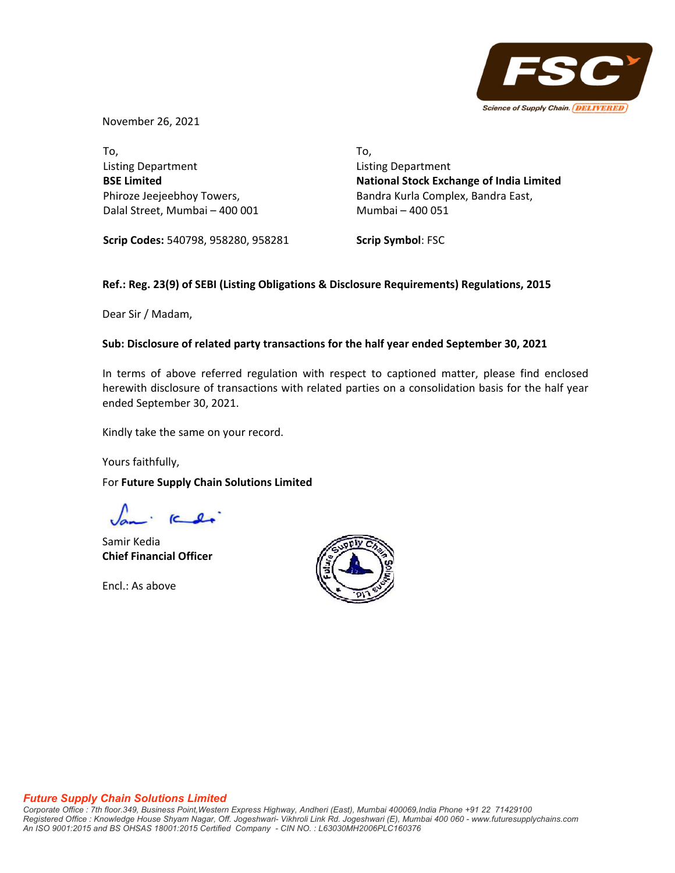

November 26, 2021

To, Listing Department **BSE Limited** Phiroze Jeejeebhoy Towers, Dalal Street, Mumbai – 400 001 To, Listing Department **National Stock Exchange of India Limited** Bandra Kurla Complex, Bandra East, Mumbai – 400 051

**Scrip Codes:** 540798, 958280, 958281

**Scrip Symbol**: FSC

# **Ref.: Reg. 23(9) of SEBI (Listing Obligations & Disclosure Requirements) Regulations, 2015**

Dear Sir / Madam,

## **Sub: Disclosure of related party transactions for the half year ended September 30, 2021**

In terms of above referred regulation with respect to captioned matter, please find enclosed herewith disclosure of transactions with related parties on a consolidation basis for the half year ended September 30, 2021.

Kindly take the same on your record.

Yours faithfully,

For **Future Supply Chain Solutions Limited**

Samir Kedia **Chief Financial Officer**

Encl.: As above



### *Future Supply Chain Solutions Limited*